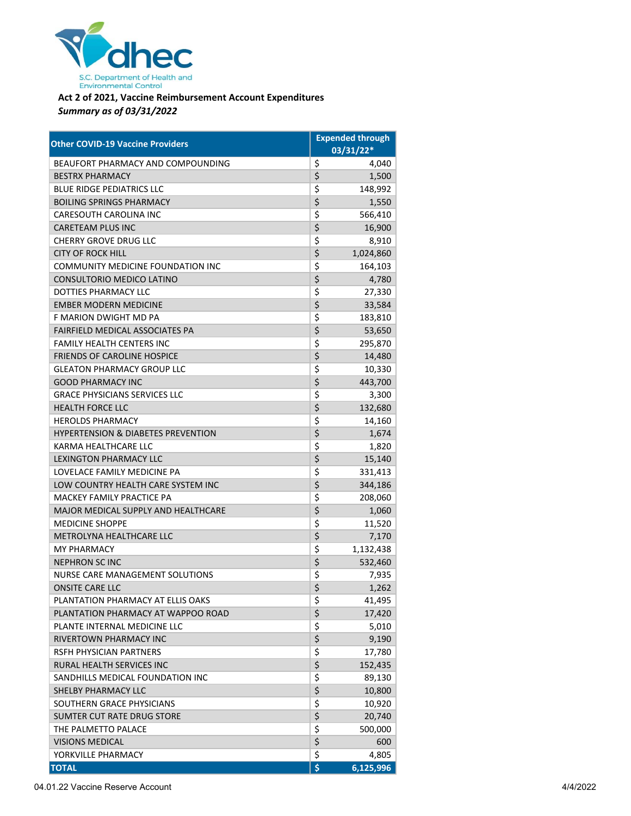

## **Act 2 of 2021, Vaccine Reimbursement Account Expenditures** *Summary as of 03/31/2022*

| <b>Other COVID-19 Vaccine Providers</b>       | <b>Expended through</b>              |
|-----------------------------------------------|--------------------------------------|
|                                               | 03/31/22*                            |
| BEAUFORT PHARMACY AND COMPOUNDING             | \$<br>4,040                          |
| <b>BESTRX PHARMACY</b>                        | \$<br>1,500                          |
| <b>BLUE RIDGE PEDIATRICS LLC</b>              | \$<br>148,992                        |
| <b>BOILING SPRINGS PHARMACY</b>               | $\overline{\mathsf{S}}$<br>1,550     |
| <b>CARESOUTH CAROLINA INC</b>                 | \$<br>566,410                        |
| <b>CARETEAM PLUS INC</b>                      | \$<br>16,900                         |
| <b>CHERRY GROVE DRUG LLC</b>                  | \$<br>8,910                          |
| <b>CITY OF ROCK HILL</b>                      | $\overline{\mathsf{S}}$<br>1,024,860 |
| <b>COMMUNITY MEDICINE FOUNDATION INC</b>      | \$<br>164,103                        |
| CONSULTORIO MEDICO LATINO                     | \$<br>4,780                          |
| DOTTIES PHARMACY LLC                          | \$<br>27,330                         |
| <b>EMBER MODERN MEDICINE</b>                  | $\overline{\mathsf{S}}$<br>33,584    |
| F MARION DWIGHT MD PA                         | \$<br>183,810                        |
| FAIRFIELD MEDICAL ASSOCIATES PA               | \$<br>53,650                         |
| <b>FAMILY HEALTH CENTERS INC</b>              | \$<br>295,870                        |
| <b>FRIENDS OF CAROLINE HOSPICE</b>            | \$<br>14,480                         |
| <b>GLEATON PHARMACY GROUP LLC</b>             | \$<br>10,330                         |
| <b>GOOD PHARMACY INC</b>                      | \$<br>443,700                        |
| <b>GRACE PHYSICIANS SERVICES LLC</b>          | \$<br>3,300                          |
| <b>HEALTH FORCE LLC</b>                       | \$<br>132,680                        |
| <b>HEROLDS PHARMACY</b>                       | \$<br>14,160                         |
| <b>HYPERTENSION &amp; DIABETES PREVENTION</b> | \$<br>1,674                          |
| KARMA HEALTHCARE LLC                          | \$<br>1,820                          |
| <b>LEXINGTON PHARMACY LLC</b>                 | \$<br>15,140                         |
| LOVELACE FAMILY MEDICINE PA                   | \$<br>331,413                        |
| LOW COUNTRY HEALTH CARE SYSTEM INC            | $\overline{\mathsf{S}}$<br>344,186   |
| MACKEY FAMILY PRACTICE PA                     | \$<br>208,060                        |
| MAJOR MEDICAL SUPPLY AND HEALTHCARE           | \$<br>1,060                          |
| MEDICINE SHOPPE                               | \$<br>11,520                         |
| METROLYNA HEALTHCARE LLC                      | \$<br>7,170                          |
| <b>MY PHARMACY</b>                            | \$<br>1,132,438                      |
| <b>NEPHRON SC INC</b>                         | \$<br>532,460                        |
| <b>NURSE CARE MANAGEMENT SOLUTIONS</b>        | \$<br>7,935                          |
| <b>ONSITE CARE LLC</b>                        | \$<br>1,262                          |
| PLANTATION PHARMACY AT ELLIS OAKS             | \$<br>41,495                         |
| PLANTATION PHARMACY AT WAPPOO ROAD            | \$<br>17,420                         |
| PLANTE INTERNAL MEDICINE LLC                  | \$<br>5,010                          |
| <b>RIVERTOWN PHARMACY INC</b>                 | \$<br>9,190                          |
| RSFH PHYSICIAN PARTNERS                       | \$<br>17,780                         |
| RURAL HEALTH SERVICES INC                     | \$<br>152,435                        |
| SANDHILLS MEDICAL FOUNDATION INC              | \$<br>89,130                         |
| SHELBY PHARMACY LLC                           | \$<br>10,800                         |
| SOUTHERN GRACE PHYSICIANS                     | \$<br>10,920                         |
| SUMTER CUT RATE DRUG STORE                    | \$<br>20,740                         |
| THE PALMETTO PALACE                           | \$<br>500,000                        |
| <b>VISIONS MEDICAL</b>                        | \$<br>600                            |
| YORKVILLE PHARMACY                            | \$<br>4,805                          |
| <b>TOTAL</b>                                  | \$<br>6,125,996                      |

04.01.22 Vaccine Reserve Account 4/4/2022